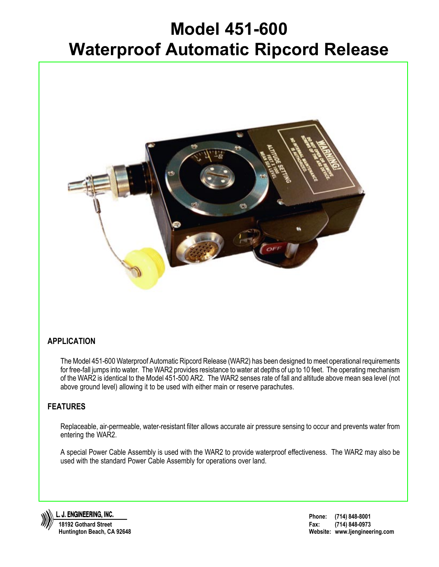## **Model 451-600 Waterproof Automatic Ripcord Release**



## **APPLICATION**

The Model 451-600 Waterproof Automatic Ripcord Release (WAR2) has been designed to meet operational requirements for free-fall jumps into water. The WAR2 provides resistance to water at depths of up to 10 feet. The operating mechanism of the WAR2 is identical to the Model 451-500 AR2. The WAR2 senses rate of fall and altitude above mean sea level (not above ground level) allowing it to be used with either main or reserve parachutes.

## **FEATURES**

Replaceable, air-permeable, water-resistant filter allows accurate air pressure sensing to occur and prevents water from entering the WAR2.

A special Power Cable Assembly is used with the WAR2 to provide waterproof effectiveness. The WAR2 may also be used with the standard Power Cable Assembly for operations over land.



J. ENGINEERING, INC. **18192 Gothard Street Huntington Beach, CA 92648**

**Phone: (714) 848-8001 Fax: (714) 848-0973 Website: www.ljengineering.com**